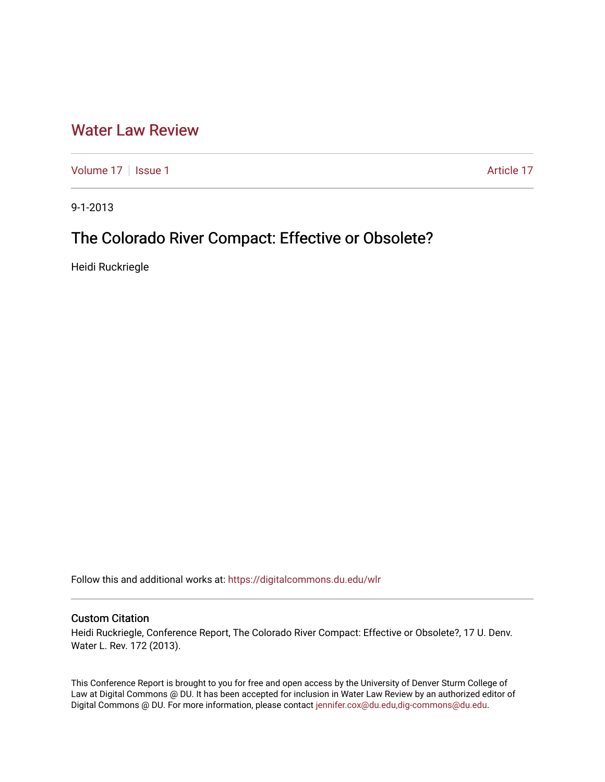## [Water Law Review](https://digitalcommons.du.edu/wlr)

[Volume 17](https://digitalcommons.du.edu/wlr/vol17) | [Issue 1](https://digitalcommons.du.edu/wlr/vol17/iss1) Article 17

9-1-2013

# The Colorado River Compact: Effective or Obsolete?

Heidi Ruckriegle

Follow this and additional works at: [https://digitalcommons.du.edu/wlr](https://digitalcommons.du.edu/wlr?utm_source=digitalcommons.du.edu%2Fwlr%2Fvol17%2Fiss1%2F17&utm_medium=PDF&utm_campaign=PDFCoverPages) 

## Custom Citation

Heidi Ruckriegle, Conference Report, The Colorado River Compact: Effective or Obsolete?, 17 U. Denv. Water L. Rev. 172 (2013).

This Conference Report is brought to you for free and open access by the University of Denver Sturm College of Law at Digital Commons @ DU. It has been accepted for inclusion in Water Law Review by an authorized editor of Digital Commons @ DU. For more information, please contact [jennifer.cox@du.edu,dig-commons@du.edu](mailto:jennifer.cox@du.edu,dig-commons@du.edu).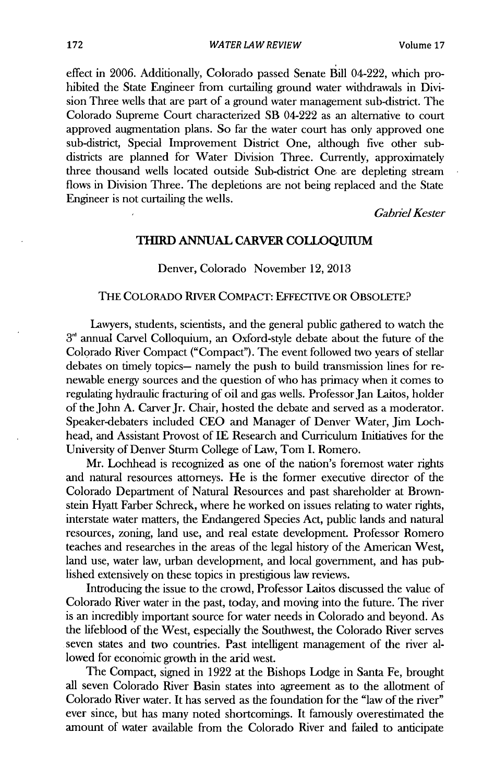effect in **2006.** Additionally, Colorado passed Senate **Bill** 04-222, which prohibited the State Engineer from curtailing ground water withdrawals in **Divi**sion Three wells that are part of a ground water management sub-district. The Colorado Supreme Court characterized SB 04-222 as an alternative to court approved augmentation plans. So far the water court has only approved one sub-district, Special Improvement District One, although five other subdistricts are planned for Water Division Three. Currently, approximately three thousand wells located outside Sub-district One. are depleting stream flows in Division Three. The depletions are not being replaced and the State Engineer is not curtailing the wells.

Gabiel *Kester*

### **THIRD ANNUAL CARVER COLLOQUIUM**

### Denver, Colorado November 12, **2013**

### THE **COLORADO RIVER COMPACr: EFFECTIVE OR OBSOLETE?**

Lawyers, students, scientists, and the general public gathered to watch the  $3<sup>rd</sup>$  annual Carvel Colloquium, an Oxford-style debate about the future of the Colorado River Compact ("Compact"). The event followed two years of stellar debates on timely topics- namely the push to build transmission lines for renewable energy sources and the question of who has primacy when it comes to regulating hydraulic fracturing of oil and gas wells. Professor Jan Laitos, holder of the John **A.** Carver Jr. Chair, hosted the debate and served as a moderator. Speaker-debaters included **CEO** and Manager of Denver Water, Jim Lochhead, and Assistant Provost of **IE** Research and Curriculum Initiatives for the University of Denver Sturm College of Law, Tom **I.** Romero.

Mr. Lochhead is recognized as one of the nation's foremost water rights and natural resources attorneys. He is the former executive director of the Colorado Department of Natural Resources and past shareholder at Brownstein Hyatt Farber Schreck, where he worked on issues relating to water rights, interstate water matters, the Endangered Species Act, public lands and natural resources, zoning, land use, and real estate development. Professor Romero teaches and researches in the areas of the legal history of the American West, land use, water law, urban development, and local government, and has published extensively on these topics in prestigious law reviews.

Introducing the issue to the crowd, Professor Laitos discussed the value of Colorado River water in the past, today, and moving into the future. The river is an incredibly important source for water needs **in** Colorado and beyond. As the lifeblood of the West, especially the Southwest, the Colorado River serves seven states and two countries. Past intelligent management of the river allowed for economic growth **in** the arid west.

The Compact, signed **in 1922** at the Bishops Lodge in Santa Fe, brought all seven Colorado River Basin states into agreement as to the allotment of Colorado River water. It has served as the foundation for the "law of the river" ever since, but has many noted shortcomings. It famously overestimated the amount of water available from the Colorado River and failed to anticipate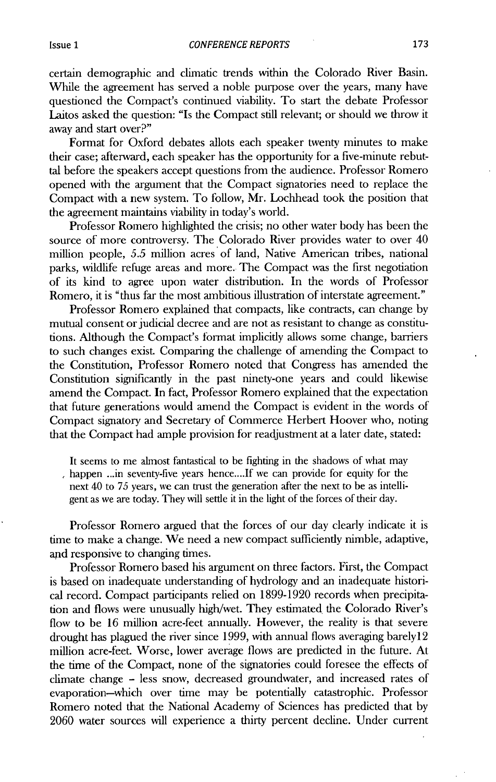certain demographic and climatic trends within the Colorado River Basin. While the agreement has served a noble purpose over the years, many have questioned the Compact's continued viability. To start the debate Professor Laitos asked the question: "Is the Compact still relevant; or should we throw it away and start over?"

Format for Oxford debates allots each speaker twenty minutes to make their case; afterward, each speaker has the opportunity for a five-minute rebuttal before the speakers accept questions from the audience. Professor Romero opened with the argument that the Compact signatories need to replace the Compact with a new system. To follow, Mr. Lochhead took the position that the agreement maintains viability in today's world.

Professor Romero highlighted the crisis; no other water body has been the source of more controversy. The Colorado River provides water to over 40 million people, **5.5** million acres of land, Native American tribes, national parks, wildlife refuge areas and more. The Compact was the first negotiation of its kind to agree upon water distribution. In the words of Professor Romero, it is "thus far the most ambitious illustration of interstate agreement."

Professor Romero explained that compacts, like contracts, can change **by** mutual consent or judicial decree and are not as resistant to change as constitutions. Although the Compact's format implicitly allows some change, barriers to such changes exist. Comparing the challenge of amending the Compact to the Constitution, Professor Romero noted that Congress has amended the Constitution significantly in the past ninety-one years and could likewise amend the Compact. In fact, Professor Romero explained that **the** expectation that future generations would amend the Compact is evident in the words of Compact signatory and Secretary of Commerce Herbert Hoover who, noting that the Compact had ample provision for readjustment at a later date, stated:

It seems to me almost fantastical to be fighting in the shadows of what may happen ...in seventy-five years **hence....If** we can provide for equity for the next 40 to **75** years, we can trust the generation after the next to be as intelligent as we are today. **They** will settle it in the light of the forces of their day.

Professor Romero argued that the forces of our day clearly indicate it **is** time to make a change. We need a new compact sufficiently nimble, adaptive, and responsive to changing times.

Professor Romero based his argument on three factors. First, the Compact is based on inadequate understanding of hydrology and an inadequate historical record. Compact participants relied on **1899-1920** records when precipitation and flows were unusually high/wet. They estimated the Colorado River's flow to be **16** million acre-feet annually. However, the reality is that severe drought has plagued the river since **1999,** with annual flows averaging barelyl2 million acre-feet. Worse, lower average flows are predicted in the future. At the time of the Compact, none of the signatories could foresee the effects of climate change **-** less snow, decreased groundwater, and increased rates of evaporation-which over time may be potentially catastrophic. Professor Romero noted that the National Academy of Sciences has predicted that **by 2060** water sources **will** experience a thirty percent decline. Under current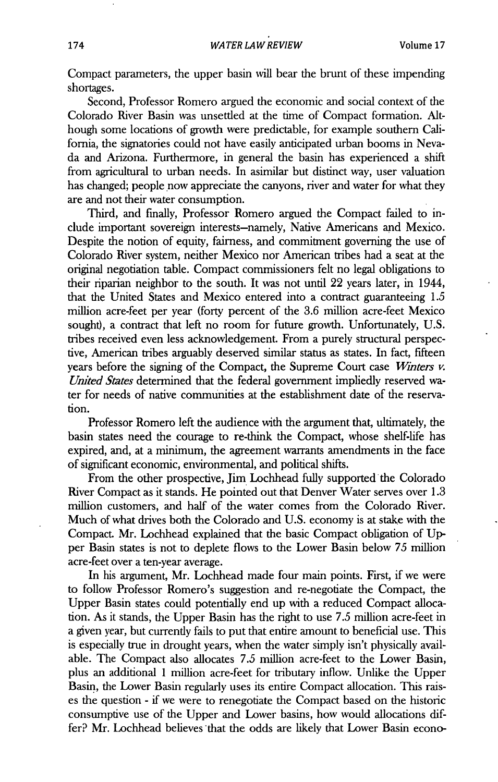Compact parameters, the upper basin will bear the brunt of these impending shortages.

Second, Professor Romero argued the economic and social context of the Colorado River Basin was unsettled at the time of Compact formation. Although some locations of growth were predictable, for example southern California, the signatories could not have easily anticipated urban booms in Nevada and Arizona. Furthermore, in general the basin has experienced a shift from agricultural to urban needs. In asimilar but distinct way, user valuation has changed; people now appreciate the canyons, river and water for what they are and not their water consumption.

Third, and finally, Professor Romero argued the Compact failed to include important sovereign interests-namely, Native Americans and Mexico. Despite the notion of equity, fairness, and commitment governing the use of Colorado River system, neither Mexico nor American tribes had a seat at the original negotiation table. Compact commissioners felt no legal obligations to their riparian neighbor to the south. It was not until 22 years later, in 1944, that the United States and Mexico entered into a contract guaranteeing **1.5** million acre-feet per year (forty percent of the **3.6** million acre-feet Mexico sought), a contract that left no room for future growth. Unfortunately, **U.S.** tribes received even less acknowledgement. From a purely structural perspective, American tribes arguably deserved similar status as states. In fact, fifteen years before the signing of the Compact, the Supreme Court case *Winters v. United States* determined that the federal government impliedly reserved water for needs of native communities at the establishment date of the reservation.

Professor Romero left the audience with the argument that, ultimately, the basin states need the courage to re-think the Compact, whose shelf-life has expired, and, at a minimum, the agreement warrants amendments in the face of significant economic, environmental, and political shifts.

From the other prospective, Jim Lochhead fully supported the Colorado River Compact as it stands. He pointed out that Denver Water serves over **1.3** million customers, and half of the water comes from the Colorado River. Much of what drives both the Colorado and **U.S.** economy is at stake with the Compact. Mr. Lochhead explained that the basic Compact obligation of **Up**per Basin states is not to deplete flows to the Lower Basin below *75* million acre-feet over a ten-year average.

In his argument, Mr. Lochhead made four main points. First, if we were to follow Professor Romero's suggestion and re-negotiate the Compact, the Upper Basin states could potentially end up with a reduced Compact allocation. As it stands, the Upper Basin has the right to use *7.5* million acre-feet in a given year, but currently fails to put that entire amount to beneficial use. This is especially true in drought years, when the water simply isn't physically available. The Compact also allocates *7.5* million acre-feet to the Lower Basin, plus an additional 1 million acre-feet for tributary inflow. Unlike the Upper Basin, the Lower Basin regularly uses its entire Compact allocation. This raises the question **-** if we were to renegotiate the Compact based on the historic consumptive use of the Upper and Lower basins, how would allocations differ? Mr. Lochhead believes that the odds are likely that Lower Basin econo